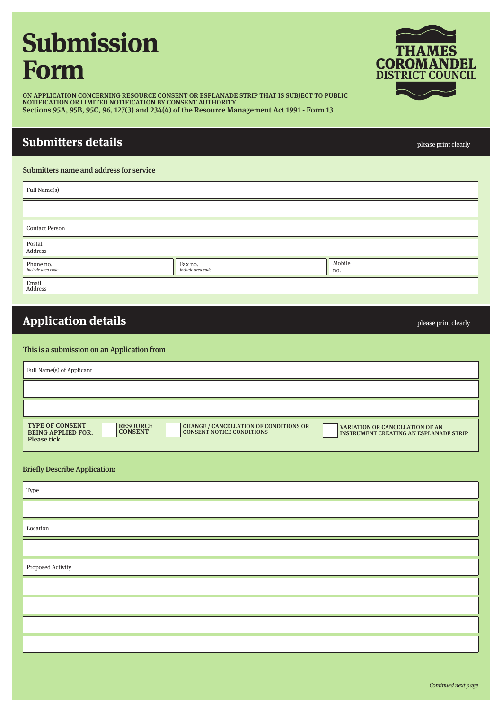# **Submission Form**

ON APPLICATION CONCERNING RESOURCE CONSENT OR ESPLANADE STRIP THAT IS SUBJECT TO PUBLIC NOTIFICATION OR LIMITED NOTIFICATION BY CONSENT AUTHORITY Sections 95A, 95B, 95C, 96, 127(3) and 234(4) of the Resource Management Act 1991 - Form 13

# **Submitters details**

Submitters name and address for service

| Full Name(s)                   |                              |               |
|--------------------------------|------------------------------|---------------|
|                                |                              |               |
| <b>Contact Person</b>          |                              |               |
| Postal<br>Address              |                              |               |
| Phone no.<br>include area code | Fax no.<br>include area code | Mobile<br>no. |
| Email<br>Address               |                              |               |

# **Application details**

| This is a submission on an Application from |  |  |  |
|---------------------------------------------|--|--|--|
|---------------------------------------------|--|--|--|

| <b>TYPE OF CONSENT</b><br><b>RESOURCE</b><br><b>CHANGE / CANCELLATION OF CONDITIONS OR</b><br>VARIATION OR CANCELLATION OF AN<br><b>CONSENT</b><br><b>CONSENT NOTICE CONDITIONS</b><br><b>BEING APPLIED FOR.</b><br><b>INSTRUMENT CREATING AN ESPLANADE STRIP</b><br><b>Please tick</b> | Full Name(s) of Applicant |  |  |
|-----------------------------------------------------------------------------------------------------------------------------------------------------------------------------------------------------------------------------------------------------------------------------------------|---------------------------|--|--|
|                                                                                                                                                                                                                                                                                         |                           |  |  |
|                                                                                                                                                                                                                                                                                         |                           |  |  |
|                                                                                                                                                                                                                                                                                         |                           |  |  |

#### **Briefly Describe Application:**

| Type              |
|-------------------|
|                   |
| Location          |
|                   |
| Proposed Activity |
|                   |
|                   |
|                   |
|                   |



please print clearly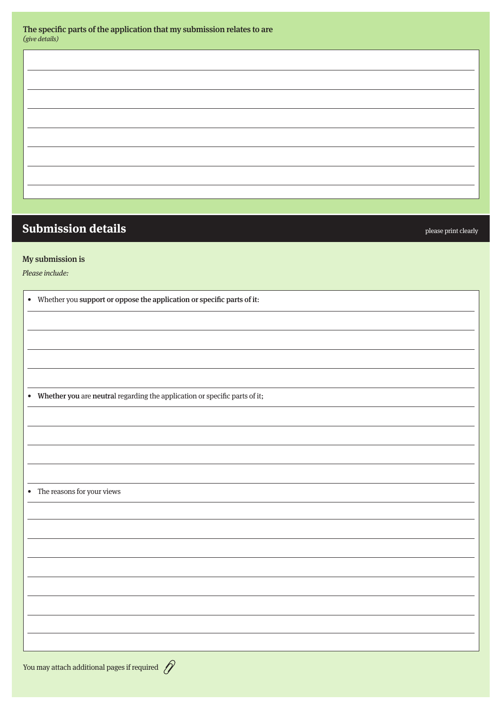# **Submission details**

please print clearly

#### My submission is

Please include:

| • Whether you support or oppose the application or specific parts of it:     |
|------------------------------------------------------------------------------|
|                                                                              |
|                                                                              |
|                                                                              |
|                                                                              |
| • Whether you are neutral regarding the application or specific parts of it; |
|                                                                              |
|                                                                              |
|                                                                              |
|                                                                              |
|                                                                              |
| $\bullet$ The reasons for your views                                         |
|                                                                              |
|                                                                              |
|                                                                              |
|                                                                              |
|                                                                              |
|                                                                              |
|                                                                              |
|                                                                              |
| $\cap$                                                                       |

You may attach additional pages if required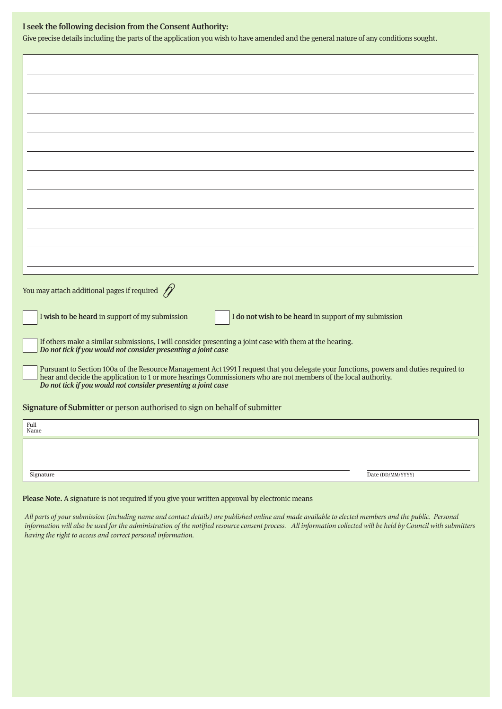#### I seek the following decision from the Consent Authority:

Give precise details including the parts of the application you wish to have amended and the general nature of any conditions sought.

| You may attach additional pages if required $\mathscr{D}$                                                                                                                                                                                                                                                                  |  |  |
|----------------------------------------------------------------------------------------------------------------------------------------------------------------------------------------------------------------------------------------------------------------------------------------------------------------------------|--|--|
| I wish to be heard in support of my submission<br>I do not wish to be heard in support of my submission                                                                                                                                                                                                                    |  |  |
| If others make a similar submissions, I will consider presenting a joint case with them at the hearing.<br>Do not tick if you would not consider presenting a joint case                                                                                                                                                   |  |  |
| Pursuant to Section 100a of the Resource Management Act 1991 I request that you delegate your functions, powers and duties required to<br>hear and decide the application to 1 or more hearings Commissioners who are not members of the local authority.<br>Do not tick if you would not consider presenting a joint case |  |  |
| Signature of Submitter or person authorised to sign on behalf of submitter                                                                                                                                                                                                                                                 |  |  |
| Full<br>Name                                                                                                                                                                                                                                                                                                               |  |  |
|                                                                                                                                                                                                                                                                                                                            |  |  |

Please Note. A signature is not required if you give your written approval by electronic means

*All parts of your submission (including name and contact details) are published online and made available to elected members and the public. Personal information will also be used for the administration of the notified resource consent process. All information collected will be held by Council with submitters having the right to access and correct personal information.*

Signature Date (DD/MM/YYYY)